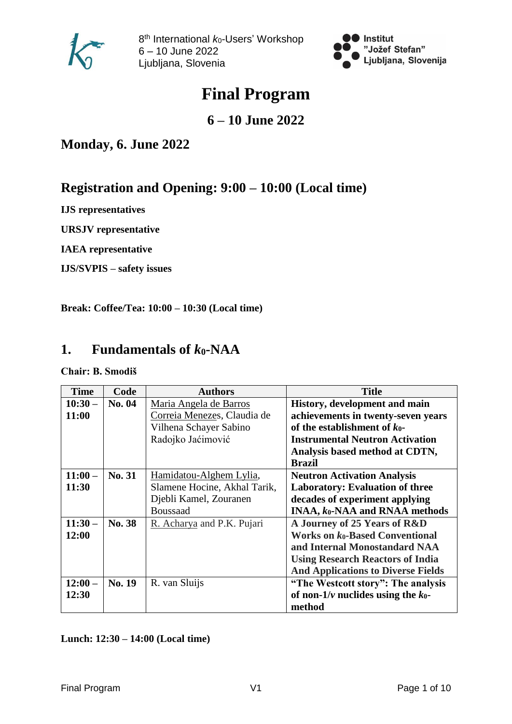



# **Final Program**

### **6 – 10 June 2022**

**Monday, 6. June 2022**

## **Registration and Opening: 9:00 – 10:00 (Local time)**

**IJS representatives**

**URSJV representative**

**IAEA representative**

**IJS/SVPIS – safety issues**

**Break: Coffee/Tea: 10:00 – 10:30 (Local time)**

### **1. Fundamentals of** *k***0-NAA**

**Chair: B. Smodiš**

| <b>Time</b> | Code   | <b>Authors</b>               | <b>Title</b>                              |
|-------------|--------|------------------------------|-------------------------------------------|
| $10:30-$    | No. 04 | Maria Angela de Barros       | History, development and main             |
| 11:00       |        | Correia Menezes, Claudia de  | achievements in twenty-seven years        |
|             |        | Vilhena Schayer Sabino       | of the establishment of $k_0$ -           |
|             |        | Radojko Jaćimović            | <b>Instrumental Neutron Activation</b>    |
|             |        |                              | Analysis based method at CDTN,            |
|             |        |                              | <b>Brazil</b>                             |
| $11:00-$    | No. 31 | Hamidatou-Alghem Lylia,      | <b>Neutron Activation Analysis</b>        |
| 11:30       |        | Slamene Hocine, Akhal Tarik, | <b>Laboratory: Evaluation of three</b>    |
|             |        | Djebli Kamel, Zouranen       | decades of experiment applying            |
|             |        | <b>Boussaad</b>              | <b>INAA, ko-NAA and RNAA methods</b>      |
| $11:30-$    | No. 38 | R. Acharya and P.K. Pujari   | A Journey of 25 Years of R&D              |
| 12:00       |        |                              | Works on $k_0$ -Based Conventional        |
|             |        |                              | and Internal Monostandard NAA             |
|             |        |                              | <b>Using Research Reactors of India</b>   |
|             |        |                              | <b>And Applications to Diverse Fields</b> |
| $12:00-$    | No. 19 | R. van Sluijs                | "The Westcott story": The analysis        |
| 12:30       |        |                              | of non- $1/v$ nuclides using the $k_0$ -  |
|             |        |                              | method                                    |

### **Lunch: 12:30 – 14:00 (Local time)**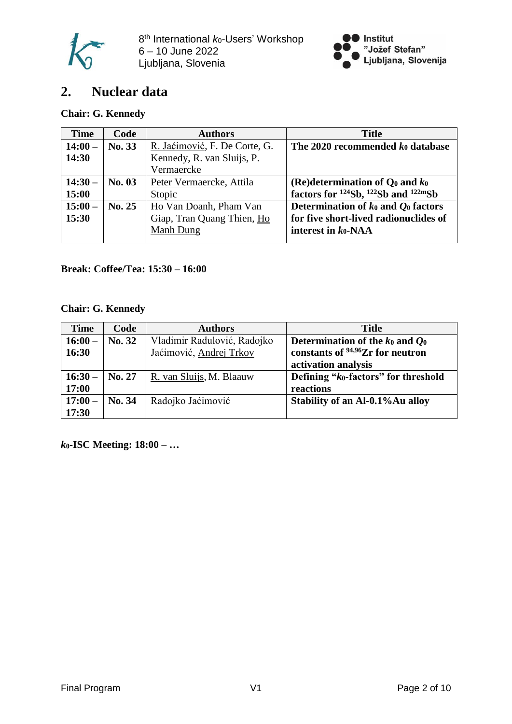



### **2. Nuclear data**

### **Chair: G. Kennedy**

| <b>Time</b> | Code   | <b>Authors</b>                | <b>Title</b>                                                            |
|-------------|--------|-------------------------------|-------------------------------------------------------------------------|
| $14:00-$    | No. 33 | R. Jaćimović, F. De Corte, G. | The 2020 recommended $k_0$ database                                     |
| 14:30       |        | Kennedy, R. van Sluijs, P.    |                                                                         |
|             |        | Vermaercke                    |                                                                         |
| $14:30-$    | No. 03 | Peter Vermaercke, Attila      | (Re)determination of $Q_0$ and $k_0$                                    |
| 15:00       |        | Stopic                        | factors for <sup>124</sup> Sb, <sup>122</sup> Sb and <sup>122m</sup> Sb |
| $15:00-$    | No. 25 | Ho Van Doanh, Pham Van        | Determination of $k_0$ and $Q_0$ factors                                |
| 15:30       |        | Giap, Tran Quang Thien, Ho    | for five short-lived radionuclides of                                   |
|             |        | Manh Dung                     | interest in $k_0$ -NAA                                                  |
|             |        |                               |                                                                         |

### **Break: Coffee/Tea: 15:30 – 16:00**

### **Chair: G. Kennedy**

| <b>Time</b> | Code   | <b>Authors</b>              | <b>Title</b>                                     |
|-------------|--------|-----------------------------|--------------------------------------------------|
| $16:00 -$   | No. 32 | Vladimir Radulović, Radojko | Determination of the $k_0$ and $Q_0$             |
| 16:30       |        | Jaćimović, Andrej Trkov     | constants of $94,96$ Zr for neutron              |
|             |        |                             | activation analysis                              |
| $16:30-$    | No. 27 | R. van Sluijs, M. Blaauw    | Defining "k <sub>0</sub> -factors" for threshold |
| 17:00       |        |                             | reactions                                        |
| $17:00-$    | No. 34 | Radojko Jaćimović           | Stability of an Al-0.1% Au alloy                 |
| 17:30       |        |                             |                                                  |

*k***0-ISC Meeting: 18:00 – …**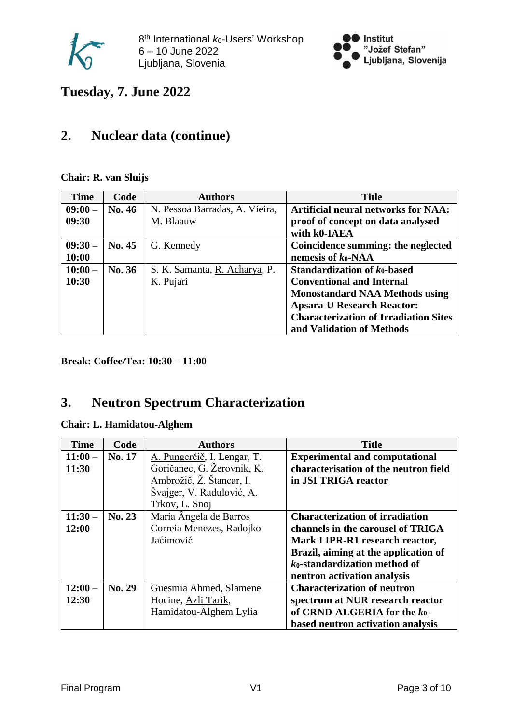



**Tuesday, 7. June 2022**

### **2. Nuclear data (continue)**

**Chair: R. van Sluijs**

| <b>Time</b> | Code          | <b>Authors</b>                 | <b>Title</b>                                     |
|-------------|---------------|--------------------------------|--------------------------------------------------|
| $09:00-$    | <b>No. 46</b> | N. Pessoa Barradas, A. Vieira, | <b>Artificial neural networks for NAA:</b>       |
| 09:30       |               | M. Blaauw                      | proof of concept on data analysed                |
|             |               |                                | with k0-IAEA                                     |
| $09:30-$    | No. 45        | G. Kennedy                     | Coincidence summing: the neglected               |
| 10:00       |               |                                | nemesis of $k_0$ -NAA                            |
| $10:00-$    | No. 36        | S. K. Samanta, R. Acharya, P.  | <b>Standardization of <math>k_0</math>-based</b> |
| 10:30       |               | K. Pujari                      | <b>Conventional and Internal</b>                 |
|             |               |                                | <b>Monostandard NAA Methods using</b>            |
|             |               |                                | <b>Apsara-U Research Reactor:</b>                |
|             |               |                                | <b>Characterization of Irradiation Sites</b>     |
|             |               |                                | and Validation of Methods                        |

**Break: Coffee/Tea: 10:30 – 11:00**

## **3. Neutron Spectrum Characterization**

### **Chair: L. Hamidatou-Alghem**

| <b>Time</b> | Code   | <b>Authors</b>              | <b>Title</b>                           |
|-------------|--------|-----------------------------|----------------------------------------|
| $11:00-$    | No. 17 | A. Pungerčič, I. Lengar, T. | <b>Experimental and computational</b>  |
| 11:30       |        | Goričanec, G. Žerovnik, K.  | characterisation of the neutron field  |
|             |        | Ambrožič, Ž. Štancar, I.    | in JSI TRIGA reactor                   |
|             |        | Švajger, V. Radulović, A.   |                                        |
|             |        | Trkov, L. Snoj              |                                        |
| $11:30-$    | No. 23 | Maria Angela de Barros      | <b>Characterization of irradiation</b> |
| 12:00       |        | Correia Menezes, Radojko    | channels in the carousel of TRIGA      |
|             |        | Jaćimović                   | Mark I IPR-R1 research reactor,        |
|             |        |                             | Brazil, aiming at the application of   |
|             |        |                             | ko-standardization method of           |
|             |        |                             | neutron activation analysis            |
| $12:00-$    | No. 29 | Guesmia Ahmed, Slamene      | <b>Characterization of neutron</b>     |
| 12:30       |        | Hocine, Azli Tarik,         | spectrum at NUR research reactor       |
|             |        | Hamidatou-Alghem Lylia      | of CRND-ALGERIA for the $k_0$ -        |
|             |        |                             | based neutron activation analysis      |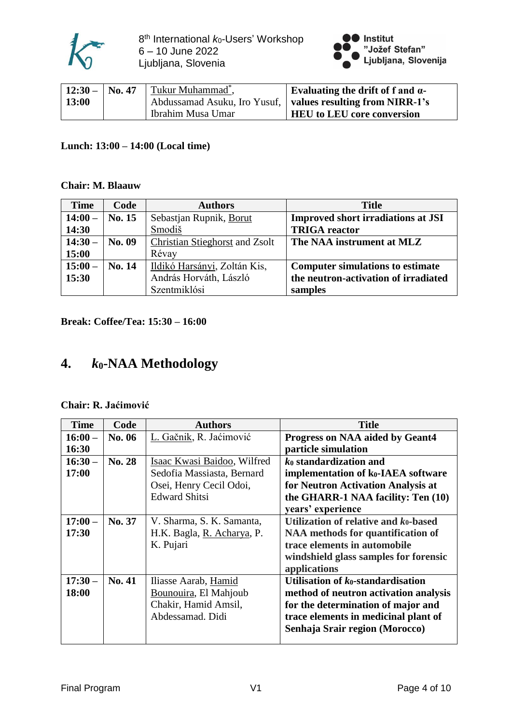



| $12:30 - $ No. 47 | Tukur Muhammad <sup>*</sup> , | Evaluating the drift of f and $\alpha$ -                      |
|-------------------|-------------------------------|---------------------------------------------------------------|
| <b>13:00</b>      |                               | Abdussamad Asuku, Iro Yusuf,   values resulting from NIRR-1's |
|                   | Ibrahim Musa Umar             | <b>HEU</b> to LEU core conversion                             |

### **Lunch: 13:00 – 14:00 (Local time)**

#### **Chair: M. Blaauw**

| <b>Time</b> | Code   | <b>Authors</b>                        | <b>Title</b>                              |
|-------------|--------|---------------------------------------|-------------------------------------------|
| $14:00-$    | No. 15 | Sebastjan Rupnik, Borut               | <b>Improved short irradiations at JSI</b> |
| 14:30       |        | Smodiš                                | <b>TRIGA</b> reactor                      |
| $14:30-$    | No. 09 | <b>Christian Stieghorst and Zsolt</b> | The NAA instrument at MLZ                 |
| 15:00       |        | Révay                                 |                                           |
| $15:00-$    | No. 14 | Ildikó Harsányi, Zoltán Kis,          | <b>Computer simulations to estimate</b>   |
| 15:30       |        | András Horváth, László                | the neutron-activation of irradiated      |
|             |        | Szentmiklósi                          | samples                                   |

**Break: Coffee/Tea: 15:30 – 16:00**

### **4.** *k***0-NAA Methodology**

#### **Chair: R. Jaćimović**

| <b>Time</b> | Code          | <b>Authors</b>              | <b>Title</b>                                    |
|-------------|---------------|-----------------------------|-------------------------------------------------|
| $16:00-$    | No. 06        | L. Gačnik, R. Jaćimović     | <b>Progress on NAA aided by Geant4</b>          |
| 16:30       |               |                             | particle simulation                             |
| $16:30-$    | <b>No. 28</b> | Isaac Kwasi Baidoo, Wilfred | $k_0$ standardization and                       |
| 17:00       |               | Sedofia Massiasta, Bernard  | implementation of k <sub>0</sub> -IAEA software |
|             |               | Osei, Henry Cecil Odoi,     | for Neutron Activation Analysis at              |
|             |               | <b>Edward Shitsi</b>        | the GHARR-1 NAA facility: Ten (10)              |
|             |               |                             | years' experience                               |
| $17:00-$    | No. 37        | V. Sharma, S. K. Samanta,   | Utilization of relative and $k_0$ -based        |
| 17:30       |               | H.K. Bagla, R. Acharya, P.  | <b>NAA</b> methods for quantification of        |
|             |               | K. Pujari                   | trace elements in automobile                    |
|             |               |                             | windshield glass samples for forensic           |
|             |               |                             | applications                                    |
| $17:30-$    | No. 41        | Iliasse Aarab, Hamid        | Utilisation of $k_0$ -standardisation           |
| 18:00       |               | Bounouira, El Mahjoub       | method of neutron activation analysis           |
|             |               | Chakir, Hamid Amsil,        | for the determination of major and              |
|             |               | Abdessamad. Didi            | trace elements in medicinal plant of            |
|             |               |                             | Senhaja Srair region (Morocco)                  |
|             |               |                             |                                                 |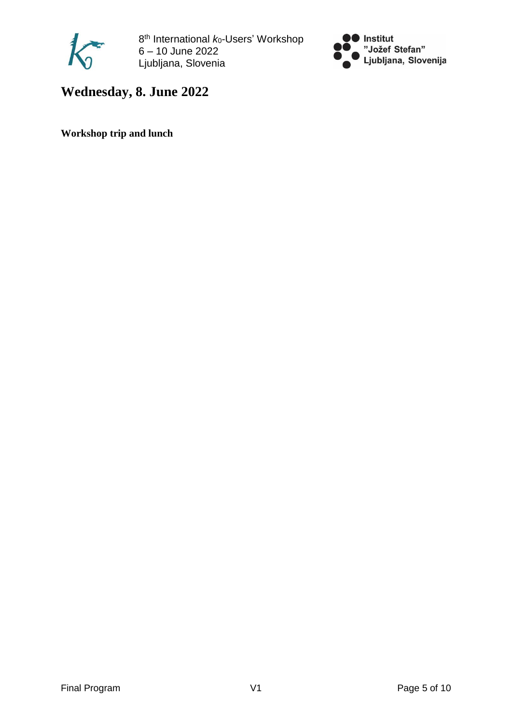



## **Wednesday, 8. June 2022**

**Workshop trip and lunch**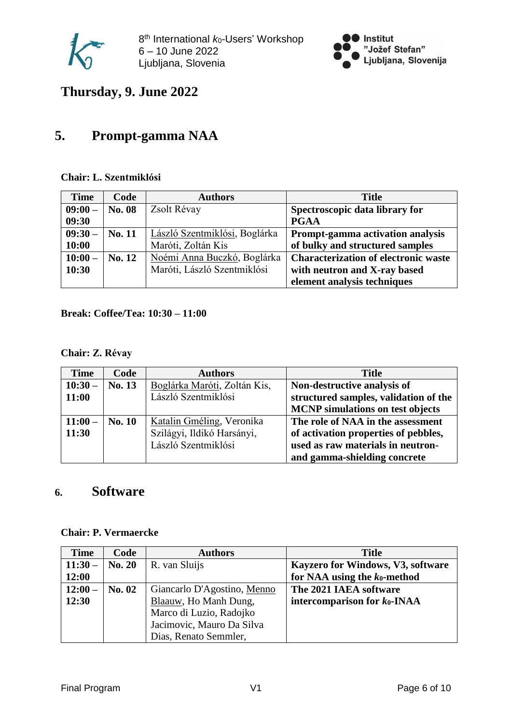



**Thursday, 9. June 2022**

## **5. Prompt-gamma NAA**

### **Chair: L. Szentmiklósi**

| <b>Time</b> | Code   | <b>Authors</b>                | <b>Title</b>                                |
|-------------|--------|-------------------------------|---------------------------------------------|
| $09:00-$    | No. 08 | Zsolt Révay                   | Spectroscopic data library for              |
| 09:30       |        |                               | <b>PGAA</b>                                 |
| $09:30-$    | No. 11 | László Szentmiklósi, Boglárka | Prompt-gamma activation analysis            |
| 10:00       |        | Maróti, Zoltán Kis            | of bulky and structured samples             |
| $10:00-$    | No. 12 | Noémi Anna Buczkó, Boglárka   | <b>Characterization of electronic waste</b> |
| 10:30       |        | Maróti, László Szentmiklósi   | with neutron and X-ray based                |
|             |        |                               | element analysis techniques                 |

### **Break: Coffee/Tea: 10:30 – 11:00**

### **Chair: Z. Révay**

| <b>Time</b> | Code   | <b>Authors</b>               | <b>Title</b>                            |
|-------------|--------|------------------------------|-----------------------------------------|
| $10:30-$    | No. 13 | Boglárka Maróti, Zoltán Kis, | Non-destructive analysis of             |
| 11:00       |        | László Szentmiklósi          | structured samples, validation of the   |
|             |        |                              | <b>MCNP</b> simulations on test objects |
| $11:00-$    | No. 10 | Katalin Gméling, Veronika    | The role of NAA in the assessment       |
| 11:30       |        | Szilágyi, Ildikó Harsányi,   | of activation properties of pebbles,    |
|             |        | László Szentmiklósi          | used as raw materials in neutron-       |
|             |        |                              | and gamma-shielding concrete            |

### **6. Software**

|  | <b>Chair: P. Vermaercke</b> |
|--|-----------------------------|
|--|-----------------------------|

| <b>Time</b> | Code          | <b>Authors</b>              | <b>Title</b>                             |
|-------------|---------------|-----------------------------|------------------------------------------|
| $11:30-$    | <b>No. 20</b> | R. van Sluijs               | <b>Kayzero for Windows, V3, software</b> |
| 12:00       |               |                             | for NAA using the $k_0$ -method          |
| $12:00-$    | No. 02        | Giancarlo D'Agostino, Menno | The 2021 IAEA software                   |
| 12:30       |               | Blaauw, Ho Manh Dung,       | intercomparison for $k_0$ -INAA          |
|             |               | Marco di Luzio, Radojko     |                                          |
|             |               | Jacimovic, Mauro Da Silva   |                                          |
|             |               | Dias, Renato Semmler,       |                                          |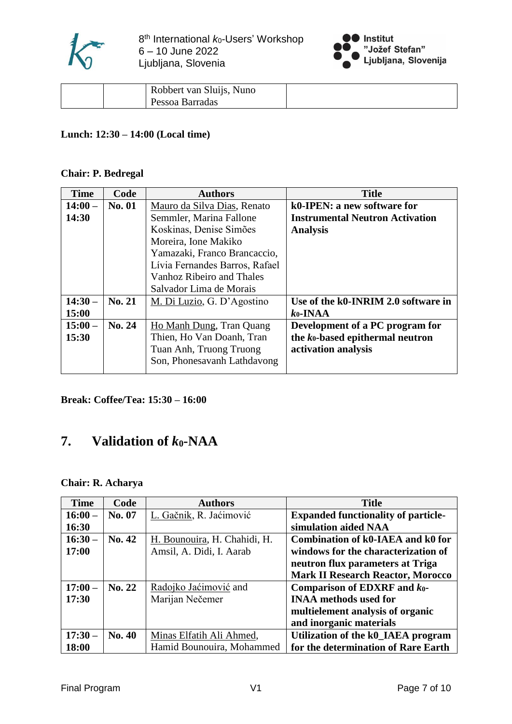



| Pessoa Barradas | Robbert van Sluijs, Nuno |  |
|-----------------|--------------------------|--|
|                 |                          |  |

### **Lunch: 12:30 – 14:00 (Local time)**

#### **Chair: P. Bedregal**

| <b>Time</b> | Code          | <b>Authors</b>                 | <b>Title</b>                                 |
|-------------|---------------|--------------------------------|----------------------------------------------|
| $14:00-$    | <b>No. 01</b> | Mauro da Silva Dias, Renato    | k0-IPEN: a new software for                  |
| 14:30       |               | Semmler, Marina Fallone        | <b>Instrumental Neutron Activation</b>       |
|             |               | Koskinas, Denise Simões        | <b>Analysis</b>                              |
|             |               | Moreira, Ione Makiko           |                                              |
|             |               | Yamazaki, Franco Brancaccio,   |                                              |
|             |               | Lívia Fernandes Barros, Rafael |                                              |
|             |               | Vanhoz Ribeiro and Thales      |                                              |
|             |               | Salvador Lima de Morais        |                                              |
| $14:30-$    | No. 21        | M. Di Luzio, G. D'Agostino     | Use of the k0-INRIM 2.0 software in          |
| 15:00       |               |                                | $k_0$ -INAA                                  |
| $15:00-$    | No. 24        | Ho Manh Dung, Tran Quang       | Development of a PC program for              |
| 15:30       |               | Thien, Ho Van Doanh, Tran      | the k <sub>0</sub> -based epithermal neutron |
|             |               | Tuan Anh, Truong Truong        | activation analysis                          |
|             |               | Son, Phonesavanh Lathdavong    |                                              |

**Break: Coffee/Tea: 15:30 – 16:00**

### **7. Validation of** *k***0-NAA**

### **Chair: R. Acharya**

| <b>Time</b> | Code   | <b>Authors</b>               | <b>Title</b>                               |
|-------------|--------|------------------------------|--------------------------------------------|
| $16:00-$    | No. 07 | L. Gačnik, R. Jaćimović      | <b>Expanded functionality of particle-</b> |
| 16:30       |        |                              | simulation aided NAA                       |
| $16:30-$    | No. 42 | H. Bounouira, H. Chahidi, H. | Combination of k0-IAEA and k0 for          |
| 17:00       |        | Amsil, A. Didi, I. Aarab     | windows for the characterization of        |
|             |        |                              | neutron flux parameters at Triga           |
|             |        |                              | <b>Mark II Research Reactor, Morocco</b>   |
| $17:00-$    | No. 22 | Radojko Jaćimović and        | Comparison of EDXRF and $k_0$ -            |
| 17:30       |        | Marijan Nečemer              | <b>INAA methods used for</b>               |
|             |        |                              | multielement analysis of organic           |
|             |        |                              | and inorganic materials                    |
| $17:30-$    | No. 40 | Minas Elfatih Ali Ahmed,     | Utilization of the k0_IAEA program         |
| 18:00       |        | Hamid Bounouira, Mohammed    | for the determination of Rare Earth        |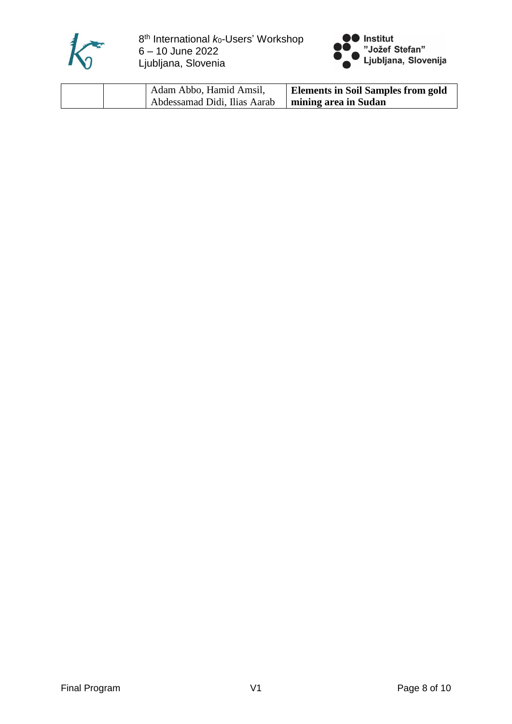



| Adam Abbo, Hamid Amsil,      | <b>Elements in Soil Samples from gold</b> |
|------------------------------|-------------------------------------------|
| Abdessamad Didi, Ilias Aarab | mining area in Sudan                      |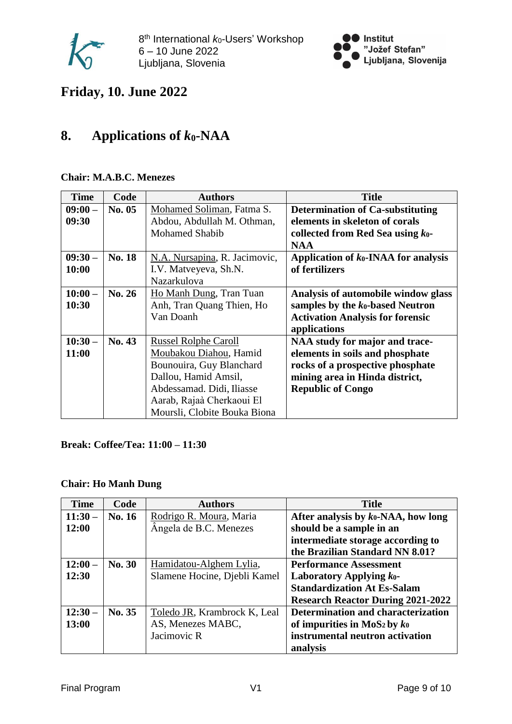



## **Friday, 10. June 2022**

## **8. Applications of** *k***0-NAA**

### **Chair: M.A.B.C. Menezes**

| <b>Time</b> | Code   | <b>Authors</b>                | <b>Title</b>                            |
|-------------|--------|-------------------------------|-----------------------------------------|
| $09:00-$    | No. 05 | Mohamed Soliman, Fatma S.     | <b>Determination of Ca-substituting</b> |
| 09:30       |        | Abdou, Abdullah M. Othman,    | elements in skeleton of corals          |
|             |        | <b>Mohamed Shabib</b>         | collected from Red Sea using $k_0$ -    |
|             |        |                               | <b>NAA</b>                              |
| $09:30-$    | No. 18 | N.A. Nursapina, R. Jacimovic, | Application of $k_0$ -INAA for analysis |
| 10:00       |        | I.V. Matveyeva, Sh.N.         | of fertilizers                          |
|             |        | Nazarkulova                   |                                         |
| $10:00-$    | No. 26 | Ho Manh Dung, Tran Tuan       | Analysis of automobile window glass     |
| 10:30       |        | Anh, Tran Quang Thien, Ho     | samples by the $k_0$ -based Neutron     |
|             |        | Van Doanh                     | <b>Activation Analysis for forensic</b> |
|             |        |                               | applications                            |
| $10:30-$    | No. 43 | <b>Russel Rolphe Caroll</b>   | NAA study for major and trace-          |
| 11:00       |        | Moubakou Diahou, Hamid        | elements in soils and phosphate         |
|             |        | Bounouira, Guy Blanchard      | rocks of a prospective phosphate        |
|             |        | Dallou, Hamid Amsil,          | mining area in Hinda district,          |
|             |        | Abdessamad. Didi, Iliasse     | <b>Republic of Congo</b>                |
|             |        | Aarab, Rajaà Cherkaoui El     |                                         |
|             |        | Moursli, Clobite Bouka Biona  |                                         |

#### **Break: Coffee/Tea: 11:00 – 11:30**

### **Chair: Ho Manh Dung**

| <b>Time</b> | Code   | <b>Authors</b>               | <b>Title</b>                             |
|-------------|--------|------------------------------|------------------------------------------|
| $11:30-$    | No. 16 | Rodrigo R. Moura, Maria      | After analysis by $k_0$ -NAA, how long   |
| 12:00       |        | Angela de B.C. Menezes       | should be a sample in an                 |
|             |        |                              | intermediate storage according to        |
|             |        |                              | the Brazilian Standard NN 8.01?          |
| $12:00-$    | No. 30 | Hamidatou-Alghem Lylia,      | <b>Performance Assessment</b>            |
| 12:30       |        | Slamene Hocine, Djebli Kamel | Laboratory Applying $k_0$ -              |
|             |        |                              | <b>Standardization At Es-Salam</b>       |
|             |        |                              | <b>Research Reactor During 2021-2022</b> |
| $12:30-$    | No. 35 | Toledo JR, Krambrock K, Leal | Determination and characterization       |
| 13:00       |        | AS, Menezes MABC,            | of impurities in $MoS2$ by $k_0$         |
|             |        | Jacimovic R                  | instrumental neutron activation          |
|             |        |                              | analysis                                 |